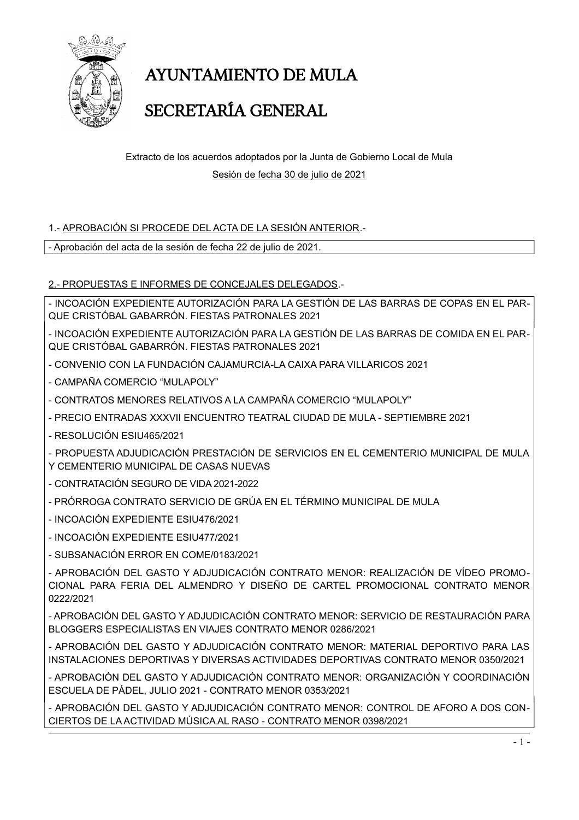

## **AYUNTAMIENTO DE MULA**

### SECRETARÍA GENERAL

Extracto de los acuerdos adoptados por la Junta de Gobierno Local de Mula Sesión de fecha 30 de julio de 2021

#### 1.- APROBACIÓN SI PROCEDE DEL ACTA DE LA SESIÓN ANTERIOR.-

- Aprobación del acta de la sesión de fecha 22 de julio de 2021.

2.- PROPUESTAS E INFORMES DE CONCEJALES DELEGADOS.-

- INCOACIÓN EXPEDIENTE AUTORIZACIÓN PARA LA GESTIÓN DE LAS BARRAS DE COPAS EN EL PAR-QUE CRISTÓBAL GABARRÓN, FIESTAS PATRONALES 2021

- INCOACIÓN EXPEDIENTE AUTORIZACIÓN PARA LA GESTIÓN DE LAS BARRAS DE COMIDA EN EL PAR-QUE CRISTÓBAL GABARRÓN. FIESTAS PATRONALES 2021

- CONVENIO CON LA FUNDACIÓN CAJAMURCIA-LA CAIXA PARA VILLARICOS 2021
- CAMPAÑA COMERCIO "MULAPOLY"
- CONTRATOS MENORES RELATIVOS A LA CAMPAÑA COMERCIO "MULAPOLY"
- PRECIO ENTRADAS XXXVII ENCUENTRO TEATRAL CIUDAD DE MULA SEPTIEMBRE 2021
- RESOLUCIÓN ESILI465/2021

- PROPUESTA ADJUDICACIÓN PRESTACIÓN DE SERVICIOS EN EL CEMENTERIO MUNICIPAL DE MULA Y CEMENTERIO MUNICIPAL DE CASAS NUEVAS

- CONTRATACIÓN SEGURO DE VIDA 2021-2022
- PRÓRROGA CONTRATO SERVICIO DE GRÚA EN EL TÉRMINO MUNICIPAL DE MULA
- INCOACIÓN EXPEDIENTE ESIU476/2021
- INCOACIÓN EXPEDIENTE ESIU477/2021
- SUBSANACIÓN ERROR EN COME/0183/2021

- APROBACIÓN DEL GASTO Y ADJUDICACIÓN CONTRATO MENOR: REALIZACIÓN DE VÍDEO PROMO-CIONAL PARA FERIA DEL ALMENDRO Y DISEÑO DE CARTEL PROMOCIONAL CONTRATO MENOR 0222/2021

- APROBACIÓN DEL GASTO Y ADJUDICACIÓN CONTRATO MENOR: SERVICIO DE RESTAURACIÓN PARA BLOGGERS ESPECIALISTAS EN VIAJES CONTRATO MENOR 0286/2021

- APROBACIÓN DEL GASTO Y ADJUDICACIÓN CONTRATO MENOR: MATERIAL DEPORTIVO PARA LAS INSTALACIONES DEPORTIVAS Y DIVERSAS ACTIVIDADES DEPORTIVAS CONTRATO MENOR 0350/2021

- APROBACIÓN DEL GASTO Y ADJUDICACIÓN CONTRATO MENOR: ORGANIZACIÓN Y COORDINACIÓN ESCUELA DE PÁDEL. JULIO 2021 - CONTRATO MENOR 0353/2021

- APROBACIÓN DEL GASTO Y ADJUDICACIÓN CONTRATO MENOR: CONTROL DE AFORO A DOS CON-CIERTOS DE LA ACTIVIDAD MÚSICA AL RASO - CONTRATO MENOR 0398/2021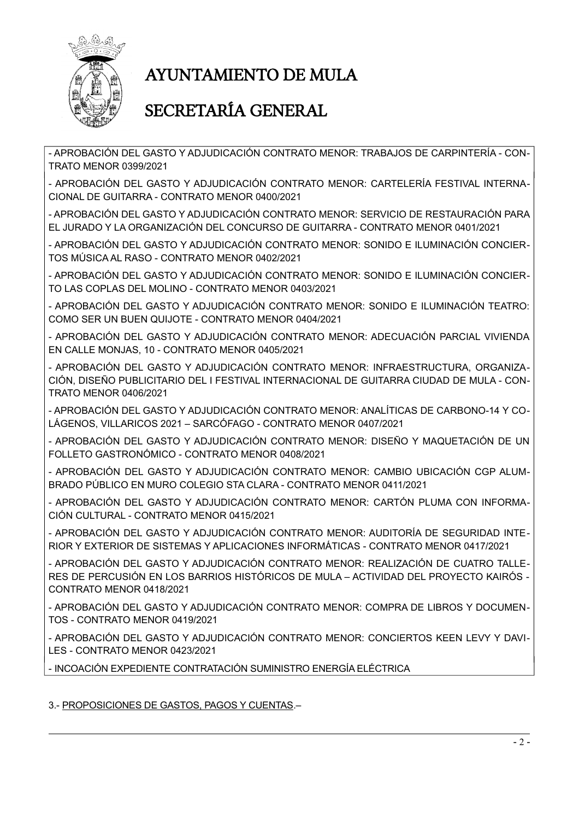

## **AYUNTAMIENTO DE MULA**

### SECRETARÍA GENERAL

- APROBACIÓN DEL GASTO Y ADJUDICACIÓN CONTRATO MENOR: TRABAJOS DE CARPINTERÍA - CON-**TRATO MENOR 0399/2021** 

- APROBACIÓN DEL GASTO Y ADJUDICACIÓN CONTRATO MENOR: CARTELERÍA FESTIVAL INTERNA-CIONAL DE GUITARRA - CONTRATO MENOR 0400/2021

- APROBACIÓN DEL GASTO Y ADJUDICACIÓN CONTRATO MENOR: SERVICIO DE RESTAURACIÓN PARA EL JURADO Y LA ORGANIZACIÓN DEL CONCURSO DE GUITARRA - CONTRATO MENOR 0401/2021

- APROBACIÓN DEL GASTO Y ADJUDICACIÓN CONTRATO MENOR: SONIDO E ILUMINACIÓN CONCIER-TOS MÚSICA AL RASO - CONTRATO MENOR 0402/2021

- APROBACIÓN DEL GASTO Y ADJUDICACIÓN CONTRATO MENOR: SONIDO E ILUMINACIÓN CONCIER-TO LAS COPLAS DEL MOLINO - CONTRATO MENOR 0403/2021

- APROBACIÓN DEL GASTO Y ADJUDICACIÓN CONTRATO MENOR: SONIDO E ILUMINACIÓN TEATRO: COMO SER UN BUEN QUIJOTE - CONTRATO MENOR 0404/2021

- APROBACIÓN DEL GASTO Y ADJUDICACIÓN CONTRATO MENOR: ADECUACIÓN PARCIAL VIVIENDA EN CALLE MONJAS, 10 - CONTRATO MENOR 0405/2021

- APROBACIÓN DEL GASTO Y ADJUDICACIÓN CONTRATO MENOR: INFRAESTRUCTURA, ORGANIZA-CIÓN, DISEÑO PUBLICITARIO DEL I FESTIVAL INTERNACIONAL DE GUITARRA CIUDAD DE MULA - CON-**TRATO MENOR 0406/2021** 

- APROBACIÓN DEL GASTO Y ADJUDICACIÓN CONTRATO MENOR: ANALÍTICAS DE CARBONO-14 Y CO-LÁGENOS. VILLARICOS 2021 - SARCÓFAGO - CONTRATO MENOR 0407/2021

- APROBACIÓN DEL GASTO Y ADJUDICACIÓN CONTRATO MENOR: DISEÑO Y MAQUETACIÓN DE UN FOLLETO GASTRONÓMICO - CONTRATO MENOR 0408/2021

- APROBACIÓN DEL GASTO Y ADJUDICACIÓN CONTRATO MENOR: CAMBIO UBICACIÓN CGP ALUM-BRADO PÚBLICO EN MURO COLEGIO STA CLARA - CONTRATO MENOR 0411/2021

- APROBACIÓN DEL GASTO Y ADJUDICACIÓN CONTRATO MENOR: CARTÓN PLUMA CON INFORMA-CIÓN CULTURAL - CONTRATO MENOR 0415/2021

- APROBACIÓN DEL GASTO Y ADJUDICACIÓN CONTRATO MENOR: AUDITORÍA DE SEGURIDAD INTE-RIOR Y EXTERIOR DE SISTEMAS Y APLICACIONES INFORMÁTICAS - CONTRATO MENOR 0417/2021

- APROBACIÓN DEL GASTO Y ADJUDICACIÓN CONTRATO MENOR: REALIZACIÓN DE CUATRO TALLE-RES DE PERCUSIÓN EN LOS BARRIOS HISTÓRICOS DE MULA – ACTIVIDAD DEL PROYECTO KAIRÓS · CONTRATO MENOR 0418/2021

- APROBACIÓN DEL GASTO Y ADJUDICACIÓN CONTRATO MENOR: COMPRA DE LIBROS Y DOCUMEN-TOS - CONTRATO MENOR 0419/2021

- APROBACIÓN DEL GASTO Y ADJUDICACIÓN CONTRATO MENOR: CONCIERTOS KEEN LEVY Y DAVI-LES - CONTRATO MENOR 0423/2021

- INCOACIÓN EXPEDIENTE CONTRATACIÓN SUMINISTRO ENERGÍA ELÉCTRICA

#### 3.- PROPOSICIONES DE GASTOS, PAGOS Y CUENTAS.-